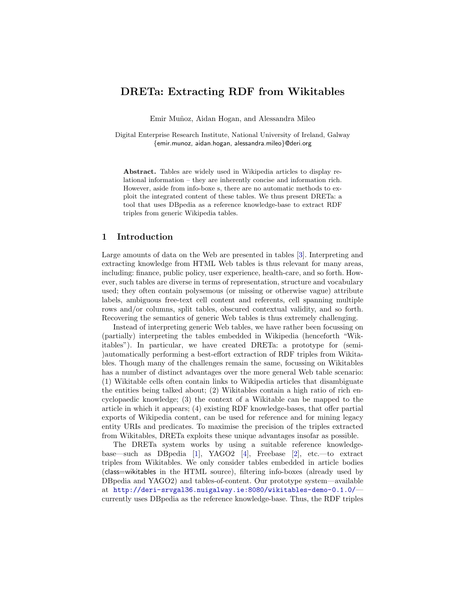# DRETa: Extracting RDF from Wikitables

Emir Muñoz, Aidan Hogan, and Alessandra Mileo

Digital Enterprise Research Institute, National University of Ireland, Galway {emir.munoz, aidan.hogan, alessandra.mileo}@deri.org

Abstract. Tables are widely used in Wikipedia articles to display relational information – they are inherently concise and information rich. However, aside from info-boxe s, there are no automatic methods to exploit the integrated content of these tables. We thus present DRETa: a tool that uses DBpedia as a reference knowledge-base to extract RDF triples from generic Wikipedia tables.

#### 1 Introduction

Large amounts of data on the Web are presented in tables [\[3\]](#page-3-0). Interpreting and extracting knowledge from HTML Web tables is thus relevant for many areas, including: finance, public policy, user experience, health-care, and so forth. However, such tables are diverse in terms of representation, structure and vocabulary used; they often contain polysemous (or missing or otherwise vague) attribute labels, ambiguous free-text cell content and referents, cell spanning multiple rows and/or columns, split tables, obscured contextual validity, and so forth. Recovering the semantics of generic Web tables is thus extremely challenging.

Instead of interpreting generic Web tables, we have rather been focussing on (partially) interpreting the tables embedded in Wikipedia (henceforth "Wikitables"). In particular, we have created DRETa: a prototype for (semi- )automatically performing a best-effort extraction of RDF triples from Wikitables. Though many of the challenges remain the same, focussing on Wikitables has a number of distinct advantages over the more general Web table scenario: (1) Wikitable cells often contain links to Wikipedia articles that disambiguate the entities being talked about; (2) Wikitables contain a high ratio of rich encyclopaedic knowledge; (3) the context of a Wikitable can be mapped to the article in which it appears; (4) existing RDF knowledge-bases, that offer partial exports of Wikipedia content, can be used for reference and for mining legacy entity URIs and predicates. To maximise the precision of the triples extracted from Wikitables, DRETa exploits these unique advantages insofar as possible.

The DRETa system works by using a suitable reference knowledgebase—such as DBpedia [\[1\]](#page-3-1), YAGO2 [\[4\]](#page-3-2), Freebase [\[2\]](#page-3-3), etc.—to extract triples from Wikitables. We only consider tables embedded in article bodies (class=wikitables in the HTML source), filtering info-boxes (already used by DBpedia and YAGO2) and tables-of-content. Our prototype system—available at <http://deri-srvgal36.nuigalway.ie:8080/wikitables-demo-0.1.0/> currently uses DBpedia as the reference knowledge-base. Thus, the RDF triples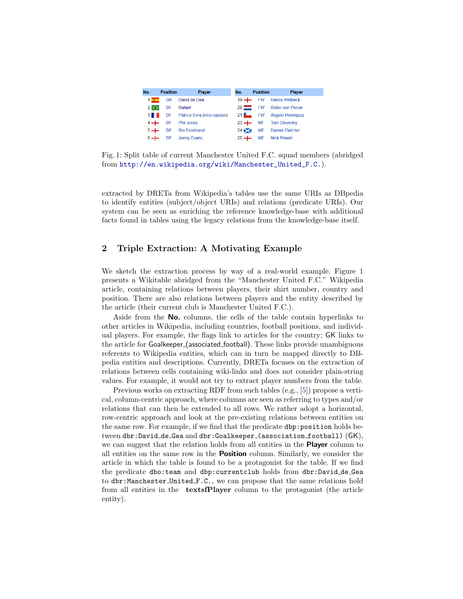<span id="page-1-0"></span>

| No.         | <b>Position</b> | <b>Player</b>                    | No.         | <b>Position</b> | <b>Player</b>                  |
|-------------|-----------------|----------------------------------|-------------|-----------------|--------------------------------|
| $1 -$       |                 | GK David de Gea                  | $19 +$      |                 | <b>FW</b> Danny Welbeck        |
| $2 \bullet$ | DF              | Rafael                           |             |                 | 20 FW Robin van Persie         |
|             |                 | 3 DF Patrice Evra (vice-captain) |             |                 | 21 P FW Ángelo Henríquez       |
| $4 +$       |                 | DF Phil Jones                    |             |                 | 23 -- MF Tom Cleverley         |
| $5 +$       |                 | DF Rio Ferdinand                 | $24 \times$ |                 | MF Darren Fletcher             |
|             |                 | 6-I- DF Jonny Evans              |             |                 | 25 <sup>-</sup> MF Nick Powell |

Fig. 1: Split table of current Manchester United F.C. squad members (abridged from [http://en.wikipedia.org/wiki/Manchester\\_United\\_F.C.](http://en.wikipedia.org/wiki/Manchester_United_F.C.)).

extracted by DRETa from Wikipedia's tables use the same URIs as DBpedia to identify entities (subject/object URIs) and relations (predicate URIs). Our system can be seen as enriching the reference knowledge-base with additional facts found in tables using the legacy relations from the knowledge-base itself.

## 2 Triple Extraction: A Motivating Example

We sketch the extraction process by way of a real-world example. Figure [1](#page-1-0) presents a Wikitable abridged from the "Manchester United F.C." Wikipedia article, containing relations between players, their shirt number, country and position. There are also relations between players and the entity described by the article (their current club is Manchester United F.C.).

Aside from the **No.** columns, the cells of the table contain hyperlinks to other articles in Wikipedia, including countries, football positions, and individual players. For example, the flags link to articles for the country; GK links to the article for Goalkeeper (associated football). These links provide unambiguous referents to Wikipedia entities, which can in turn be mapped directly to DBpedia entities and descriptions. Currently, DRETa focuses on the extraction of relations between cells containing wiki-links and does not consider plain-string values. For example, it would not try to extract player numbers from the table.

Previous works on extracting RDF from such tables (e.g., [\[5\]](#page-3-4)) propose a vertical, column-centric approach, where columns are seen as referring to types and/or relations that can then be extended to all rows. We rather adopt a horizontal, row-centric approach and look at the pre-existing relations between entities on the same row. For example, if we find that the predicate dbp:position holds between dbr:David\_de\_Gea and dbr:Goalkeeper\_(association\_football) (GK), we can suggest that the relation holds from all entities in the **Player** column to all entities on the same row in the Position column. Similarly, we consider the article in which the table is found to be a protagonist for the table. If we find the predicate dbo:team and dbp:currentclub holds from dbr:David de Gea to dbr:Manchester United F.C., we can propose that the same relations hold from all entities in the textsfPlayer column to the protagonist (the article entity).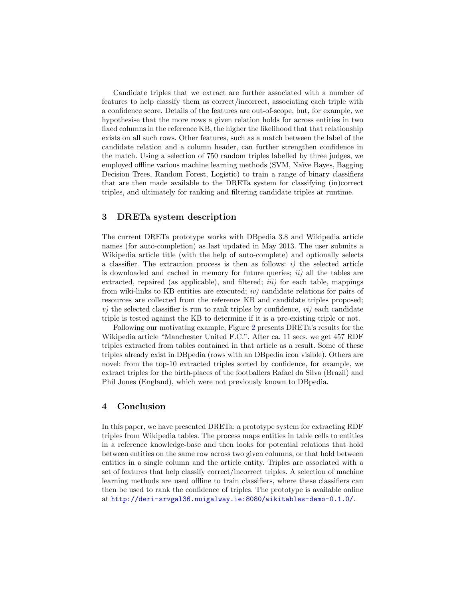Candidate triples that we extract are further associated with a number of features to help classify them as correct/incorrect, associating each triple with a confidence score. Details of the features are out-of-scope, but, for example, we hypothesise that the more rows a given relation holds for across entities in two fixed columns in the reference KB, the higher the likelihood that that relationship exists on all such rows. Other features, such as a match between the label of the candidate relation and a column header, can further strengthen confidence in the match. Using a selection of 750 random triples labelled by three judges, we employed offline various machine learning methods (SVM, Naïve Bayes, Bagging Decision Trees, Random Forest, Logistic) to train a range of binary classifiers that are then made available to the DRETa system for classifying (in)correct triples, and ultimately for ranking and filtering candidate triples at runtime.

#### 3 DRETa system description

The current DRETa prototype works with DBpedia 3.8 and Wikipedia article names (for auto-completion) as last updated in May 2013. The user submits a Wikipedia article title (with the help of auto-complete) and optionally selects a classifier. The extraction process is then as follows:  $i$ ) the selected article is downloaded and cached in memory for future queries;  $ii)$  all the tables are extracted, repaired (as applicable), and filtered; *iii*) for each table, mappings from wiki-links to KB entities are executed;  $iv)$  candidate relations for pairs of resources are collected from the reference KB and candidate triples proposed; v) the selected classifier is run to rank triples by confidence,  $vi$  each candidate triple is tested against the KB to determine if it is a pre-existing triple or not.

Following our motivating example, Figure [2](#page-3-5) presents DRETa's results for the Wikipedia article "Manchester United F.C.". After ca. 11 secs. we get 457 RDF triples extracted from tables contained in that article as a result. Some of these triples already exist in DBpedia (rows with an DBpedia icon visible). Others are novel: from the top-10 extracted triples sorted by confidence, for example, we extract triples for the birth-places of the footballers Rafael da Silva (Brazil) and Phil Jones (England), which were not previously known to DBpedia.

#### 4 Conclusion

In this paper, we have presented DRETa: a prototype system for extracting RDF triples from Wikipedia tables. The process maps entities in table cells to entities in a reference knowledge-base and then looks for potential relations that hold between entities on the same row across two given columns, or that hold between entities in a single column and the article entity. Triples are associated with a set of features that help classify correct/incorrect triples. A selection of machine learning methods are used offline to train classifiers, where these classifiers can then be used to rank the confidence of triples. The prototype is available online at <http://deri-srvgal36.nuigalway.ie:8080/wikitables-demo-0.1.0/>.